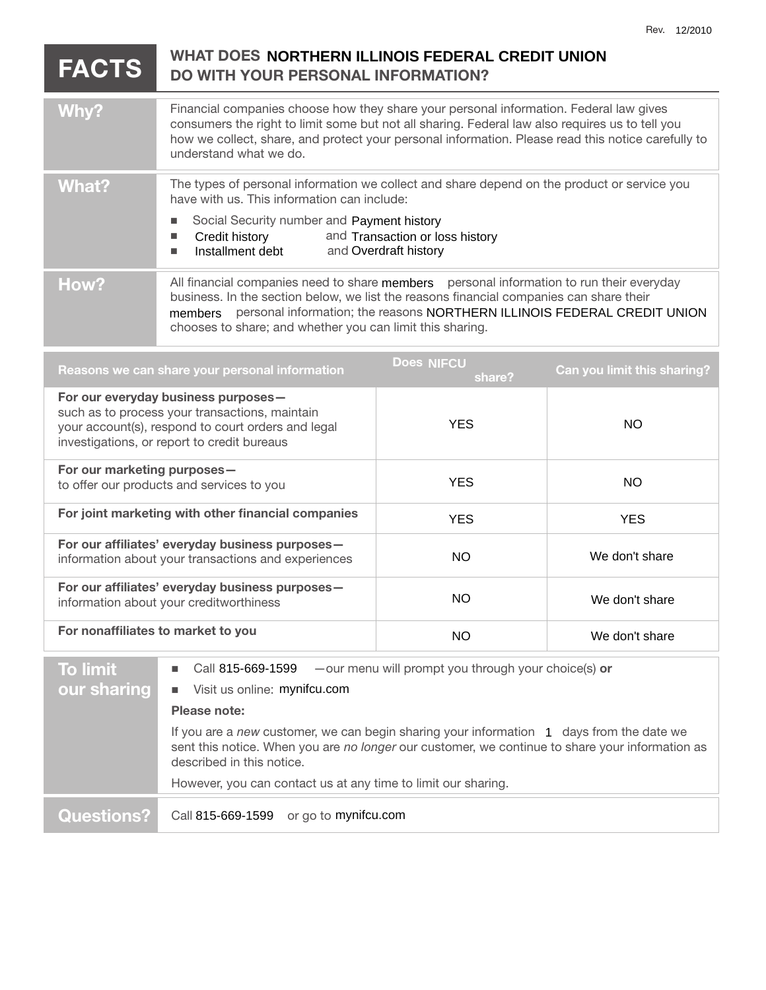## **FACTS DO WITH YOUR PERSONAL INFORMATION?**  Why? **Financial companies choose how they share your personal information. Federal law gives** consumers the right to limit some but not all sharing. Federal law also requires us to tell you how we collect, share, and protect your personal information. Please read this notice carefully to understand what we do. What? The types of personal information we collect and share depend on the product or service you have with us. This information can include: Social Security number and Payment history  $\blacksquare$  Credit history Installment debt How? All financial companies need to share members personal information to run their everyday business. In the section below, we list the reasons financial companies can share their members personal information; the reasons NORTHERN ILLINOIS FEDERAL CREDIT UNION chooses to share; and whether you can limit this sharing. **Reasons we can share your personal information share? Can you limit this sharing? For our everyday business purposes**  such as to process your transactions, maintain your account(s), respond to court orders and legal investigations, or report to credit bureaus **For our marketing purposes**  to offer our products and services to you For joint marketing with other financial companies **For our affiliates' everyday business purposes**  information about your transactions and experiences **For our affiliates' everyday business purposes**  information about your creditworthiness **For nonaffiliates to market to you To limit our sharing**   $-$  our menu will prompt you through your choice(s) or ■ Visit us online: mynifcu.com **Please note: WHAT DOES NORTHERN ILLINOIS FEDERAL CREDIT UNION** and Transaction or loss history and Overdraft history **Does NIFCU** YES NO YES NO YES YES NO We don't share NO We don't share NO We don't share Call 815-669-1599

If you are a new customer, we can begin sharing your information 1 days from the date we sent this notice. When you are *no longer* our customer, we continue to share your information as described in this notice.

However, you can contact us at any time to limit our sharing.

## **Questions?** Call 815-669-1599 or go to mynifcu.com